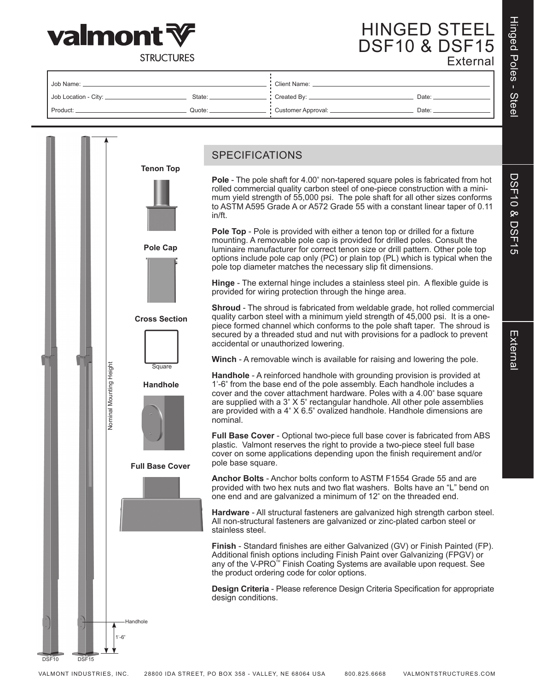

# HINGED STEEL DSF10 & DSF15 External

**STRUCTURES** 

| Job Name:              |          | <b>Client Name:</b>    |         |  |  |
|------------------------|----------|------------------------|---------|--|--|
| Job Location - City: _ | State: _ | Created By: _          | Date: _ |  |  |
| Product:               | Quote:   | : Customer Approval: _ | Date:   |  |  |

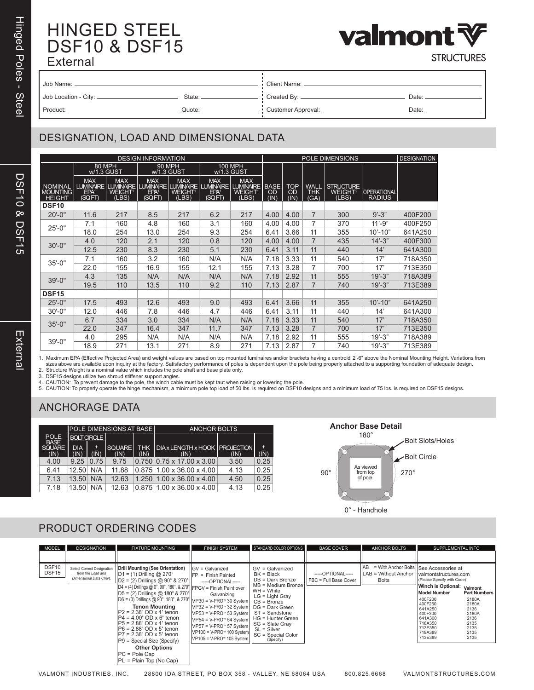# HINGED STEEL DSF10 & DSF15 External



**STRUCTURES** 

| Job Name: _             |        | <b>Client Name:</b> |       |  |  |
|-------------------------|--------|---------------------|-------|--|--|
| Job Location - City: __ | State: | Created By: __      | Date: |  |  |
| Product:                | Quote: | Customer Approval:  | Date: |  |  |

### DESIGNATION, LOAD AND DIMENSIONAL DATA

| <b>DESIGN INFORMATION</b>                   |                                                       |                                                  |                                          |                                            |                                          |                                                                                                           | POLE DIMENSIONS                  |                   |                            |                                                  |                              | <b>DESIGNATION</b> |
|---------------------------------------------|-------------------------------------------------------|--------------------------------------------------|------------------------------------------|--------------------------------------------|------------------------------------------|-----------------------------------------------------------------------------------------------------------|----------------------------------|-------------------|----------------------------|--------------------------------------------------|------------------------------|--------------------|
|                                             | 80 MPH<br>w/1.3 GUST                                  |                                                  |                                          | <b>90 MPH</b><br>w/1.3 GUST                | <b>100 MPH</b><br>w/1.3 GUST             |                                                                                                           |                                  |                   |                            |                                                  |                              |                    |
| <b>NOMINAL</b><br>MOUNTING<br><b>HEIGHT</b> | <b>MAX</b><br>LUMINAIRE<br>EPA <sup>1</sup><br>(SQFT) | <b>MAX</b><br><b>WEIGHT<sup>1</sup></b><br>(LBS) | <b>MAX</b><br>EPA <sup>1</sup><br>(SQFT) | <b>MAX</b><br>WEIGHT <sup>1</sup><br>(LBS) | <b>MAX</b><br>EPA <sup>1</sup><br>(SQFT) | <b>MAX</b><br>LUMINAIRE   LUMINAIRE   LUMINAIRE   LUMINAIRE   LUMINAIRE  <br>WEIGHT <sup>1</sup><br>(LBS) | <b>BASE</b><br><b>OD</b><br>(IN) | TOP<br>OD<br>(IN) | WALL<br><b>THK</b><br>(GA) | <b>STRUCTURE</b><br>WEIGHT <sup>2</sup><br>(LBS) | OPERATIONAL<br><b>RADIUS</b> |                    |
| DSF <sub>10</sub>                           |                                                       |                                                  |                                          |                                            |                                          |                                                                                                           |                                  |                   |                            |                                                  |                              |                    |
| $20' - 0''$                                 | 11.6                                                  | 217                                              | 8.5                                      | 217                                        | 6.2                                      | 217                                                                                                       | 4.00                             | 4.00              | $\overline{7}$             | 300                                              | $9' - 3"$                    | 400F200            |
| $25 - 0"$                                   | 7.1                                                   | 160                                              | 4.8                                      | 160                                        | 3.1                                      | 160                                                                                                       | 4.00                             | 4.00              | 7                          | 370                                              | $11' - 9"$                   | 400F250            |
|                                             | 18.0                                                  | 254                                              | 13.0                                     | 254                                        | 9.3                                      | 254                                                                                                       | 6.41                             | 3.66              | 11                         | 355                                              | $10' - 10"$                  | 641A250            |
| $30' - 0''$                                 | 4.0                                                   | 120                                              | 2.1                                      | 120                                        | 0.8                                      | 120                                                                                                       | 4.00                             | 4.00              | 7                          | 435                                              | $14' - 3"$                   | 400F300            |
|                                             | 12.5                                                  | 230                                              | 8.3                                      | 230                                        | 5.1                                      | 230                                                                                                       | 6.41                             | 3.11              | 11                         | 440                                              | 14'                          | 641A300            |
| $35 - 0$ "                                  | 7.1                                                   | 160                                              | 3.2                                      | 160                                        | N/A                                      | N/A                                                                                                       | 7.18                             | 3.33              | 11                         | 540                                              | 17'                          | 718A350            |
|                                             | 22.0                                                  | 155                                              | 16.9                                     | 155                                        | 12.1                                     | 155                                                                                                       | 7.13                             | 3.28              | 7                          | 700                                              | 17'                          | 713E350            |
| $39' - 0''$                                 | 4.3                                                   | 135                                              | N/A                                      | N/A                                        | N/A                                      | N/A                                                                                                       | 7.18                             | 2.92              | 11                         | 555                                              | $19' - 3"$                   | 718A389            |
|                                             | 19.5                                                  | 110                                              | 13.5                                     | 110                                        | 9.2                                      | 110                                                                                                       | 7.13                             | 2.87              | 7                          | 740                                              | $19' - 3"$                   | 713E389            |
| <b>DSF15</b>                                |                                                       |                                                  |                                          |                                            |                                          |                                                                                                           |                                  |                   |                            |                                                  |                              |                    |
| $25' - 0''$                                 | 17.5                                                  | 493                                              | 12.6                                     | 493                                        | 9.0                                      | 493                                                                                                       | 6.41                             | 3.66              | 11                         | 355                                              | $10' - 10"$                  | 641A250            |
| $30' - 0''$                                 | 12.0                                                  | 446                                              | 7.8                                      | 446                                        | 4.7                                      | 446                                                                                                       | 6.41                             | 3.11              | 11                         | 440                                              | 14'                          | 641A300            |
| $35 - 0$ "                                  | 6.7                                                   | 334                                              | 3.0                                      | 334                                        | N/A                                      | N/A                                                                                                       | 7.18                             | 3.33              | 11                         | 540                                              | 17'                          | 718A350            |
|                                             | 22.0                                                  | 347                                              | 16.4                                     | 347                                        | 11.7                                     | 347                                                                                                       | 7.13                             | 3.28              | 7                          | 700                                              | 17'                          | 713E350            |
| $39' - 0''$                                 | 4.0                                                   | 295                                              | N/A                                      | N/A                                        | N/A                                      | N/A                                                                                                       | 7.18                             | 2.92              | 11                         | 555                                              | $19' - 3"$                   | 718A389            |
|                                             | 18.9                                                  | 271                                              | 13.1                                     | 271                                        | 8.9                                      | 271                                                                                                       | 7.13                             | 2.87              | 7                          | 740                                              | $19' - 3"$                   | 713E389            |

DSF10 & DSF15

**DSF10 & DSF15** 

Hinged Poles - Steel

Hinged Poles - Stee

1. Maximum EPA (Effective Projected Area) and weight values are based on top mounted luminaires and/or brackets having a centroid 2'-6" above the Nominal Mounting Height. Variations from<br>sizes above are available upon inqu

3. DSF15 designs utilize two shroud stiffener support angles.<br>4. CAUTION: To prevent damage to the pole, the winch cable must be kept taut when raising or lowering the pole.<br>5. CAUTION: To properly operate the hinge mechan

### ANCHORAGE DATA

|                            |                    |      | <u>IPOLE DIMENSIONS AT BASE I</u> |                    | <b>ANCHOR BOLTS</b>                            |      |       |  |  |
|----------------------------|--------------------|------|-----------------------------------|--------------------|------------------------------------------------|------|-------|--|--|
| <b>POLE</b><br><b>BASE</b> | <b>BOLT CIRCLE</b> |      |                                   |                    |                                                |      |       |  |  |
| <b>SQUARE</b><br>(IN)      | <b>DIA</b>         | 土    | <b>SQUARE</b><br>(IN)             | <b>THK</b><br>(IN) | <b>IDIA x LENGTH x HOOK PROJECTION</b><br>(IN) | (IN) | $\pm$ |  |  |
| 4.00                       | 9.25               | 0.75 | 9.75                              |                    | $0.750$ 0.75 x 17.00 x 3.00                    | 3.50 | 0.25  |  |  |
| 6.41                       | 12.50              | N/A  | 11.88                             |                    | $0.875$   1.00 x 36.00 x 4.00                  | 4.13 | 0.25  |  |  |
| 7.13                       | 13.50              | N/A  | 12.63                             |                    | $1.250$   1.00 x 36.00 x 4.00                  | 4.50 | 0.25  |  |  |
| 7.18                       | 13.50              | N/A  | 1263                              |                    | $0.875$   1.00 x 36.00 x 4.00                  | 4.13 | 0.25  |  |  |



#### PRODUCT ORDERING CODES

| <b>MODEL</b>                           | <b>DESIGNATION</b>                                                         | <b>FIXTURE MOUNTING</b>                                                                                                                                                                                                                                                                                                                                                                                                                                                                                                                                                                                                                   | <b>FINISH SYSTEM</b>                                                                                                                                                                                                                                                                                                                                                                                                                                                                                                                                                                                                                    | STANDARD COLOR OPTIONS                                                                                                                                      | <b>BASE COVER</b>                           | <b>ANCHOR BOLTS</b>                                                                      | SUPPLEMENTAL INFO                                                                                                                                                                                     |                                                                                                           |
|----------------------------------------|----------------------------------------------------------------------------|-------------------------------------------------------------------------------------------------------------------------------------------------------------------------------------------------------------------------------------------------------------------------------------------------------------------------------------------------------------------------------------------------------------------------------------------------------------------------------------------------------------------------------------------------------------------------------------------------------------------------------------------|-----------------------------------------------------------------------------------------------------------------------------------------------------------------------------------------------------------------------------------------------------------------------------------------------------------------------------------------------------------------------------------------------------------------------------------------------------------------------------------------------------------------------------------------------------------------------------------------------------------------------------------------|-------------------------------------------------------------------------------------------------------------------------------------------------------------|---------------------------------------------|------------------------------------------------------------------------------------------|-------------------------------------------------------------------------------------------------------------------------------------------------------------------------------------------------------|-----------------------------------------------------------------------------------------------------------|
| DSF <sub>10</sub><br>DSF <sub>15</sub> | Select Correct Designation<br>from the Load and<br>Dimensional Data Chart. | Drill Mounting (See Orientation)<br>$\vert$ D1 = (1) Drilling @ 270°<br>$  D2 = (2) Drillings @ 90° & 270°  $<br>$D4 = (4)$ Drillings @ 0°, 90°, 180°, & 270° $ $ FPGV = Finish Paint over<br>$ D5 = (2)$ Drillings @ 180° & 270°<br>$ D6 = (3)$ Drillings @ 90°, 180°, & 270°  ∨P30 = V-PRO™ 30 System    $\overrightarrow{CB}$ = Bronze<br><b>Tenon Mounting</b><br>$P2 = 2.38$ OD x 4" tenon<br>$ P4 = 4.00"$ OD x 6" tenon<br>$IP5 = 2.88$ " OD x 4" tenon<br>$ P6 = 2.88$ " OD x 5" tenon<br>$IP7 = 2.38$ " OD x 5" tenon<br>$ P9 =$ Special Size (Specify)<br><b>Other Options</b><br>$PC = Pole Cap$<br>$ PL = Plain Top (No Cap)$ | $\sqrt{GV}$ = Galvanized<br>$I$ Finish Painted<br>-----OPTIONAL-----<br>Galvanizing<br>$\vert \vert \text{VP32} \vert = \text{V-PRO}$ 32 System $\vert \vert \text{DG} \vert = \text{Dark Green}$<br>$\vert \vert \text{VP53} \vert = \text{V-PRO}$ 53 System $\vert \vert$ ST = Sandstone<br>  VP54 = V-PRO™ 54 System   HG = Hunter Green<br>$\sqrt{\frac{1}{1}}\sqrt{\frac{1}{1}}$ VP57 = V-PRO <sup>16</sup> 57 System<br>$\left \sqrt{VP100} = V-PRO^{\pi} 100 \text{ System} \right  \left  \begin{array}{c} 0 & - \cos \theta \\ SC = \text{Special Color} \end{array} \right $<br>$ V$ P105 = V-PRO <sup>*</sup> 105 System $ $ | $GV =$ Galvanized<br>$BK = Black$<br>I DB = Dark Bronze<br>MB = Medium Bronze<br>I IWH = White<br>$LC = Light Gray$<br><b>ISG = Slate Gray</b><br>(Specify) | -----OPTIONAL-----<br>FBC = Full Base Cover | = With Anchor Bolts   See Accessories at<br>IAB.<br>LAB = Without Anchor<br><b>Bolts</b> | I valmontstructures.com<br>(Please Specify with Code)<br>Winch is Optional:<br><b>Model Number</b><br>400F200<br>400F250<br>641A250<br>400F300<br>641A300<br>718A350<br>713E350<br>718A389<br>713E389 | Valmont<br><b>Part Numbers</b><br>2180A<br>2180A<br>2136<br>2180A<br>2136<br>2135<br>2135<br>2135<br>2135 |